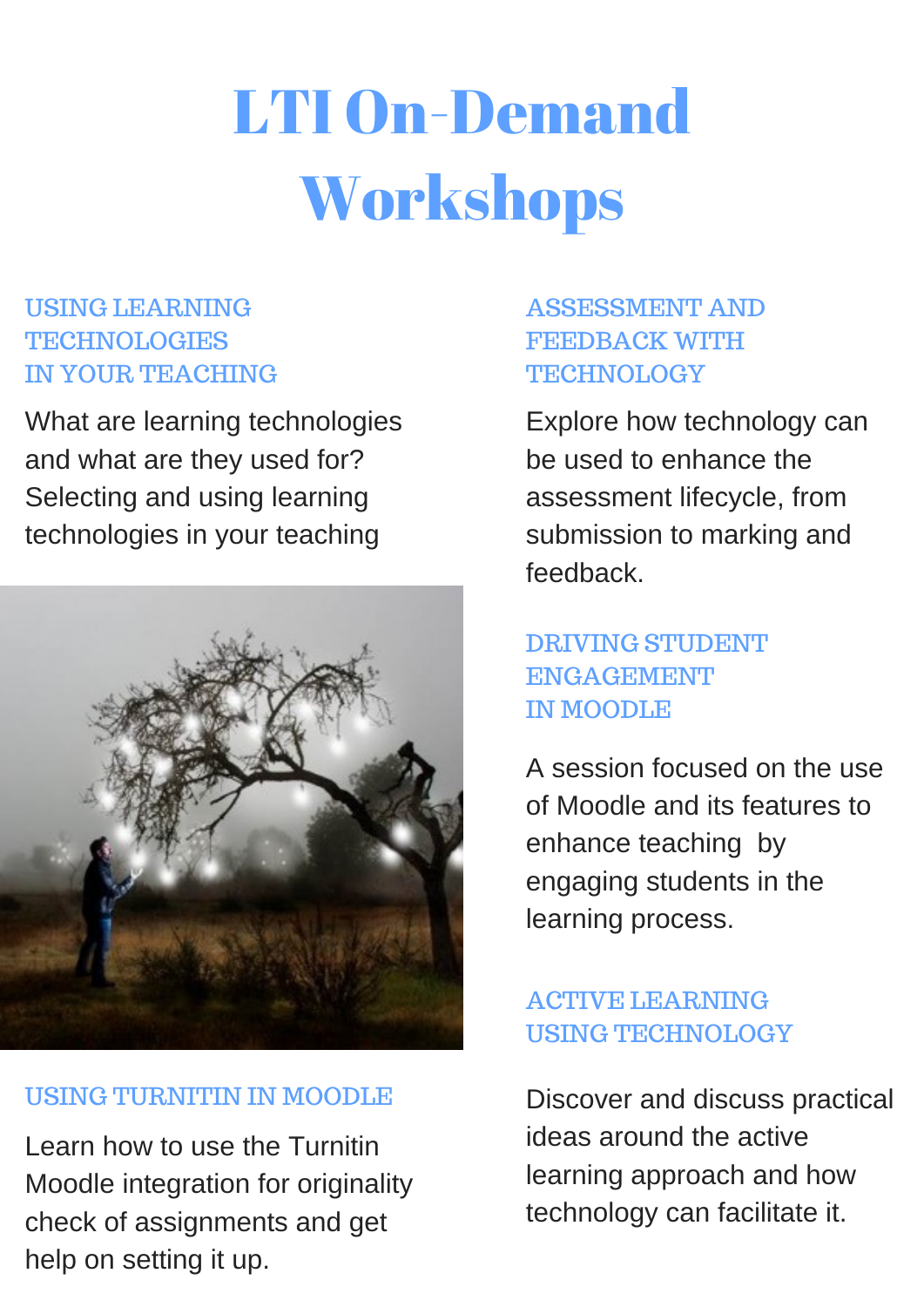# LTI On-Demand Workshops

ASSESSMENT AND FEEDBACK WITH TECHNOLOGY

DRIVING STUDENT ENGAGEMENT

#### IN MOODLE

# ACTIVE LEARNING USING TECHNOLOGY

# USING LEARNING TECHNOLOGIES IN YOUR TEACHING

Discover and discuss practical ideas around the active learning approach and how technology can facilitate it.

A session focused on the use of Moodle and its features to enhance teaching by engaging students in the learning process.

Explore how technology can be used to enhance the assessment lifecycle, from submission to marking and feedback.

## USING TURNITIN IN MOODLE

Learn how to use the Turnitin Moodle integration for originality check of assignments and get help on setting it up.

What are learning technologies and what are they used for? Selecting and using learning technologies in your teaching